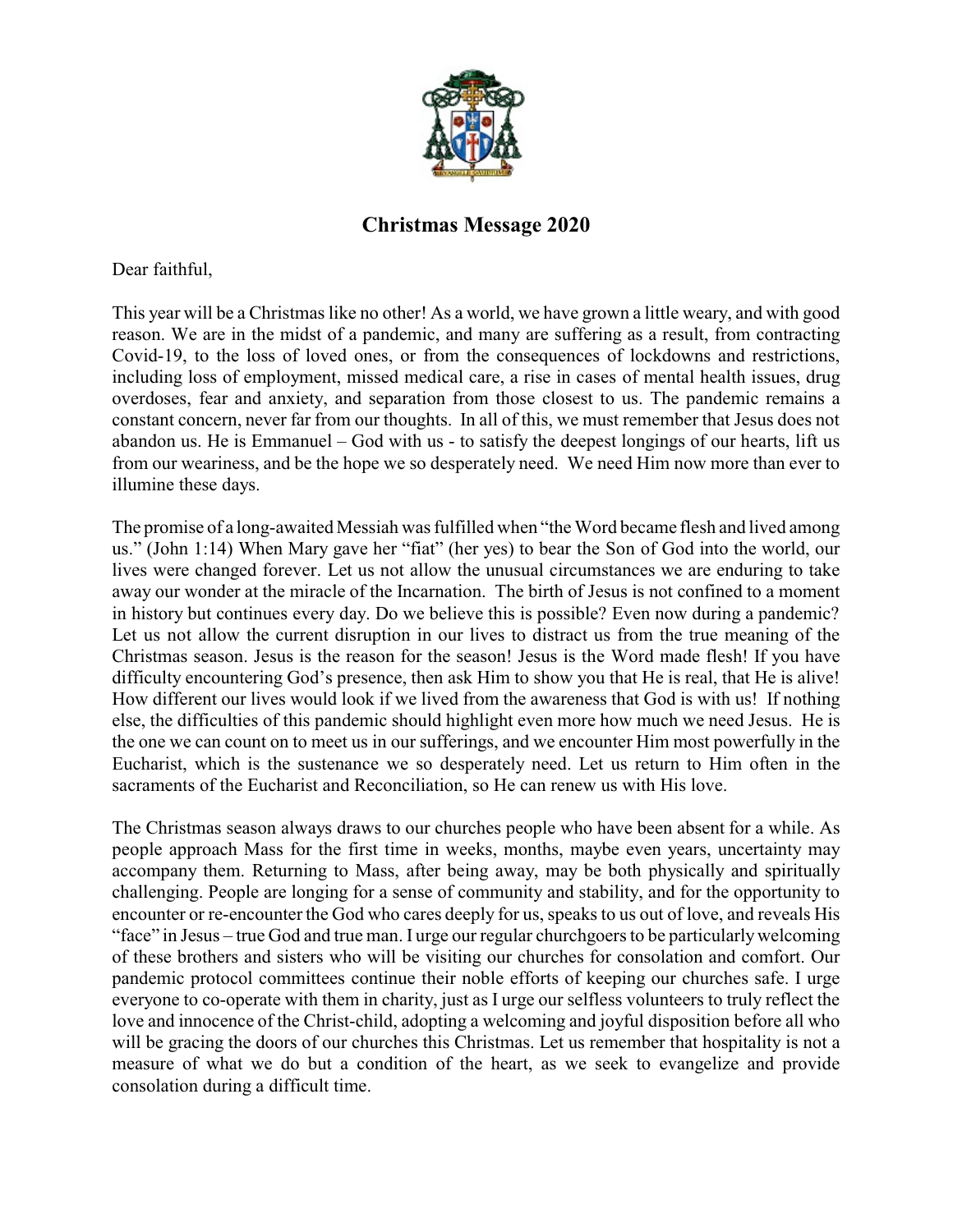

## **Christmas Message 2020**

Dear faithful,

This year will be a Christmas like no other! As a world, we have grown a little weary, and with good reason. We are in the midst of a pandemic, and many are suffering as a result, from contracting Covid-19, to the loss of loved ones, or from the consequences of lockdowns and restrictions, including loss of employment, missed medical care, a rise in cases of mental health issues, drug overdoses, fear and anxiety, and separation from those closest to us. The pandemic remains a constant concern, never far from our thoughts. In all of this, we must remember that Jesus does not abandon us. He is Emmanuel – God with us - to satisfy the deepest longings of our hearts, lift us from our weariness, and be the hope we so desperately need. We need Him now more than ever to illumine these days.

The promise of a long-awaited Messiah was fulfilled when "the Word became flesh and lived among us." (John 1:14) When Mary gave her "fiat" (her yes) to bear the Son of God into the world, our lives were changed forever. Let us not allow the unusual circumstances we are enduring to take away our wonder at the miracle of the Incarnation. The birth of Jesus is not confined to a moment in history but continues every day. Do we believe this is possible? Even now during a pandemic? Let us not allow the current disruption in our lives to distract us from the true meaning of the Christmas season. Jesus is the reason for the season! Jesus is the Word made flesh! If you have difficulty encountering God's presence, then ask Him to show you that He is real, that He is alive! How different our lives would look if we lived from the awareness that God is with us! If nothing else, the difficulties of this pandemic should highlight even more how much we need Jesus. He is the one we can count on to meet us in our sufferings, and we encounter Him most powerfully in the Eucharist, which is the sustenance we so desperately need. Let us return to Him often in the sacraments of the Eucharist and Reconciliation, so He can renew us with His love.

The Christmas season always draws to our churches people who have been absent for a while. As people approach Mass for the first time in weeks, months, maybe even years, uncertainty may accompany them. Returning to Mass, after being away, may be both physically and spiritually challenging. People are longing for a sense of community and stability, and for the opportunity to encounter or re-encounter the God who cares deeply for us, speaks to us out of love, and reveals His "face" in Jesus – true God and true man. I urge our regular churchgoers to be particularlywelcoming of these brothers and sisters who will be visiting our churches for consolation and comfort. Our pandemic protocol committees continue their noble efforts of keeping our churches safe. I urge everyone to co-operate with them in charity, just as I urge our selfless volunteers to truly reflect the love and innocence of the Christ-child, adopting a welcoming and joyful disposition before all who will be gracing the doors of our churches this Christmas. Let us remember that hospitality is not a measure of what we do but a condition of the heart, as we seek to evangelize and provide consolation during a difficult time.